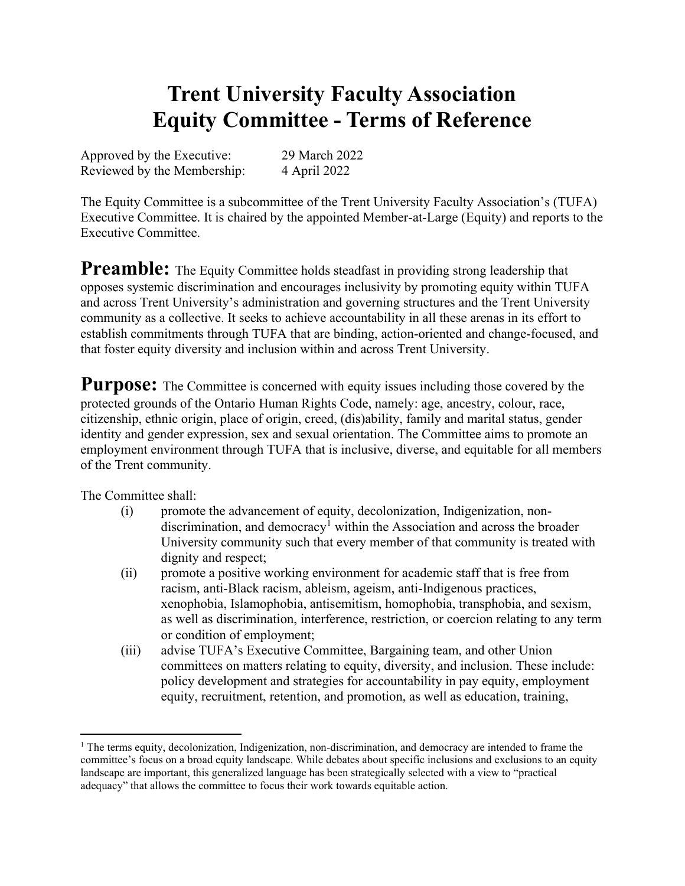# Trent University Faculty Association Equity Committee - Terms of Reference

Approved by the Executive: 29 March 2022 Reviewed by the Membership: 4 April 2022

The Equity Committee is a subcommittee of the Trent University Faculty Association's (TUFA) Executive Committee. It is chaired by the appointed Member-at-Large (Equity) and reports to the Executive Committee.

**Preamble:** The Equity Committee holds steadfast in providing strong leadership that opposes systemic discrimination and encourages inclusivity by promoting equity within TUFA and across Trent University's administration and governing structures and the Trent University community as a collective. It seeks to achieve accountability in all these arenas in its effort to establish commitments through TUFA that are binding, action-oriented and change-focused, and that foster equity diversity and inclusion within and across Trent University.

**Purpose:** The Committee is concerned with equity issues including those covered by the protected grounds of the Ontario Human Rights Code, namely: age, ancestry, colour, race, citizenship, ethnic origin, place of origin, creed, (dis)ability, family and marital status, gender identity and gender expression, sex and sexual orientation. The Committee aims to promote an employment environment through TUFA that is inclusive, diverse, and equitable for all members of the Trent community.

The Committee shall:

- (i) promote the advancement of equity, decolonization, Indigenization, nondiscrimination, and democracy<sup>1</sup> within the Association and across the broader University community such that every member of that community is treated with dignity and respect;
- (ii) promote a positive working environment for academic staff that is free from racism, anti-Black racism, ableism, ageism, anti-Indigenous practices, xenophobia, Islamophobia, antisemitism, homophobia, transphobia, and sexism, as well as discrimination, interference, restriction, or coercion relating to any term or condition of employment;
- (iii) advise TUFA's Executive Committee, Bargaining team, and other Union committees on matters relating to equity, diversity, and inclusion. These include: policy development and strategies for accountability in pay equity, employment equity, recruitment, retention, and promotion, as well as education, training,

<sup>&</sup>lt;sup>1</sup> The terms equity, decolonization, Indigenization, non-discrimination, and democracy are intended to frame the committee's focus on a broad equity landscape. While debates about specific inclusions and exclusions to an equity landscape are important, this generalized language has been strategically selected with a view to "practical adequacy" that allows the committee to focus their work towards equitable action.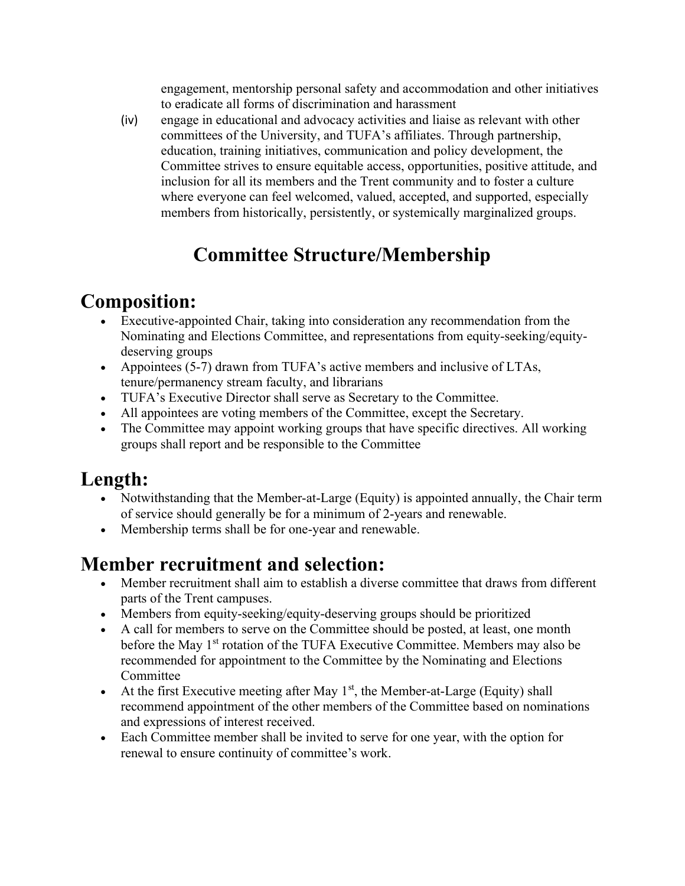engagement, mentorship personal safety and accommodation and other initiatives to eradicate all forms of discrimination and harassment

(iv) engage in educational and advocacy activities and liaise as relevant with other committees of the University, and TUFA's affiliates. Through partnership, education, training initiatives, communication and policy development, the Committee strives to ensure equitable access, opportunities, positive attitude, and inclusion for all its members and the Trent community and to foster a culture where everyone can feel welcomed, valued, accepted, and supported, especially members from historically, persistently, or systemically marginalized groups.

## Committee Structure/Membership

#### Composition:

- Executive-appointed Chair, taking into consideration any recommendation from the Nominating and Elections Committee, and representations from equity-seeking/equitydeserving groups
- Appointees (5-7) drawn from TUFA's active members and inclusive of LTAs, tenure/permanency stream faculty, and librarians
- TUFA's Executive Director shall serve as Secretary to the Committee.
- All appointees are voting members of the Committee, except the Secretary.
- The Committee may appoint working groups that have specific directives. All working groups shall report and be responsible to the Committee

### Length:

- Notwithstanding that the Member-at-Large (Equity) is appointed annually, the Chair term of service should generally be for a minimum of 2-years and renewable.
- Membership terms shall be for one-year and renewable.

### Member recruitment and selection:

- Member recruitment shall aim to establish a diverse committee that draws from different parts of the Trent campuses.
- Members from equity-seeking/equity-deserving groups should be prioritized
- A call for members to serve on the Committee should be posted, at least, one month before the May 1<sup>st</sup> rotation of the TUFA Executive Committee. Members may also be recommended for appointment to the Committee by the Nominating and Elections Committee
- At the first Executive meeting after May  $1<sup>st</sup>$ , the Member-at-Large (Equity) shall recommend appointment of the other members of the Committee based on nominations and expressions of interest received.
- Each Committee member shall be invited to serve for one year, with the option for renewal to ensure continuity of committee's work.